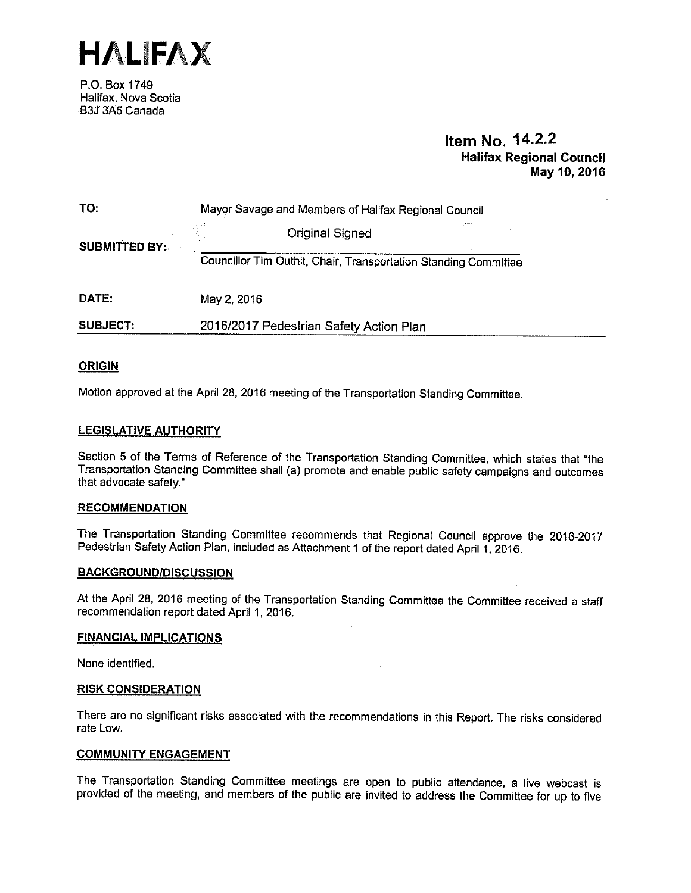

P.O. Box 1749 Halifax, Nova Scotia B3J 3A5 Canada

# Item No. 14.2.2 Halifax Regional Council May 10,2016

| TO:                  | Mayor Savage and Members of Halifax Regional Council            |  |  |  |
|----------------------|-----------------------------------------------------------------|--|--|--|
| <b>SUBMITTED BY:</b> | <b>Original Signed</b>                                          |  |  |  |
|                      | Councillor Tim Outhit, Chair, Transportation Standing Committee |  |  |  |
| DATE:                | May 2, 2016                                                     |  |  |  |
| <b>SUBJECT:</b>      | 2016/2017 Pedestrian Safety Action Plan                         |  |  |  |

# ORIGIN

Motion approved at the April 28, <sup>2016</sup> meeting of the Transportation Standing Committee.

#### LEGISLATIVE AUTHORITY

Section <sup>5</sup> of the Terms of Reference of the Transportation Standing Committee, which states that "the Transportation Standing Committee shall (a) promote and enable public safety campaigns and outcomes that advocate safety."

#### **RECOMMENDATION**

The Transportation Standing Committee recommends that Regional Council approve the 2016-2017 Pedestrian Safety Action Plan, included as Attachment <sup>1</sup> of the report dated April 1, 2016.

#### BACKGROUNDIDISCUSSION

At the April 28, <sup>2016</sup> meeting of the Transportation Standing Committee the Committee received <sup>a</sup> staff recommendation report dated April 1, 2016.

#### FINANCIAL IMPLICATIONS

None identified.

#### RISK CONSIDERATION

There are no significant risks associated with the recommendations in this Report. The risks considered rate Low.

#### COMMUNITY ENGAGEMENT

The Transportation Standing Committee meetings are open to public attendance, <sup>a</sup> live webcast is provided of the meeting, and members of the public are invited to address the Committee for up to five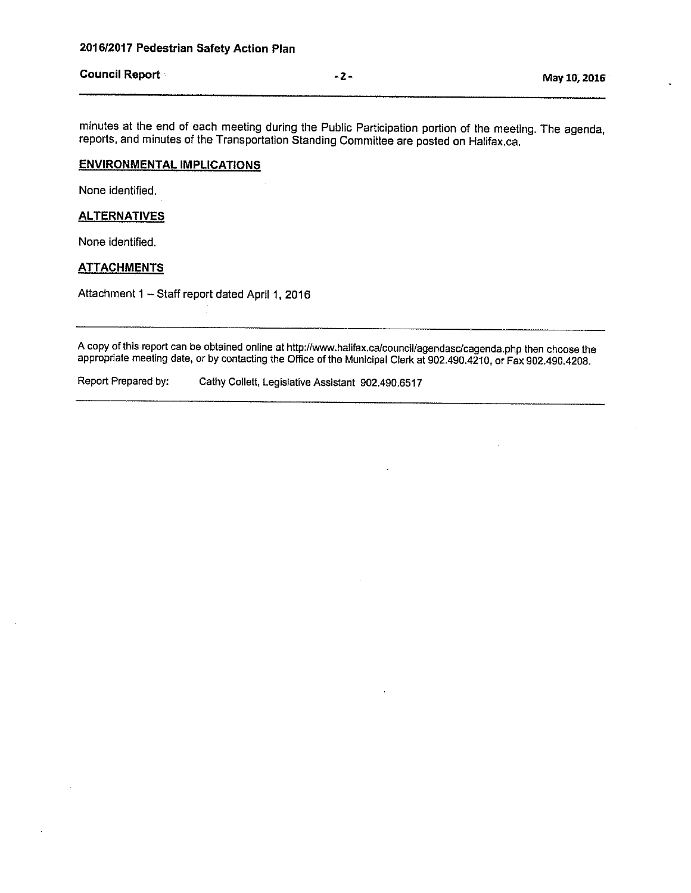# Council Report May 10, 2016

minutes at the end of each meeting during the Public Participation portion of the meeting. The agenda, reports, and minutes of the Transportation Standing Committee are posted on Halifax.ca.

#### ENVIRONMENTAL IMPLICATIONS

None identified.

#### **ALTERNATIVES**

None identified.

# **ATTACHMENTS**

Attachment <sup>1</sup> — Staff report dated April 1, 2016

A copy of this report can be obtained online at http://www.halifax.ca/council/agendasc/cagenda.php then choose the appropriate meeting date, or by contacting the Office of the Municipal Clerk at 902.490.4210, or Fax 902.490.4208.

Report Prepared by: Cathy Collett, Legislative Assistant 902.490.6517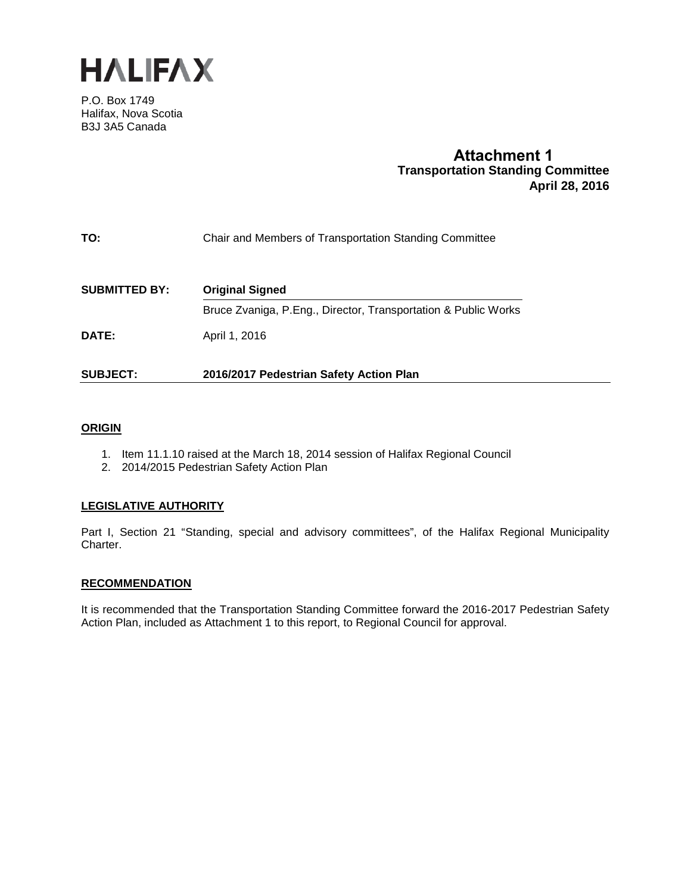

P.O. Box 1749 Halifax, Nova Scotia B3J 3A5 Canada

# **Attachment 1 Transportation Standing Committee April 28, 2016**

| Chair and Members of Transportation Standing Committee<br>TO: |  |
|---------------------------------------------------------------|--|
|---------------------------------------------------------------|--|

| <b>SUBMITTED BY:</b> | <b>Original Signed</b>                                         |  |  |
|----------------------|----------------------------------------------------------------|--|--|
|                      | Bruce Zvaniga, P.Eng., Director, Transportation & Public Works |  |  |
| DATE:                | April 1, 2016                                                  |  |  |
| <b>SUBJECT:</b>      | 2016/2017 Pedestrian Safety Action Plan                        |  |  |

# **ORIGIN**

- 1. Item 11.1.10 raised at the March 18, 2014 session of Halifax Regional Council
- 2. 2014/2015 Pedestrian Safety Action Plan

#### **LEGISLATIVE AUTHORITY**

Part I, Section 21 "Standing, special and advisory committees", of the Halifax Regional Municipality Charter.

#### **RECOMMENDATION**

It is recommended that the Transportation Standing Committee forward the 2016-2017 Pedestrian Safety Action Plan, included as Attachment 1 to this report, to Regional Council for approval.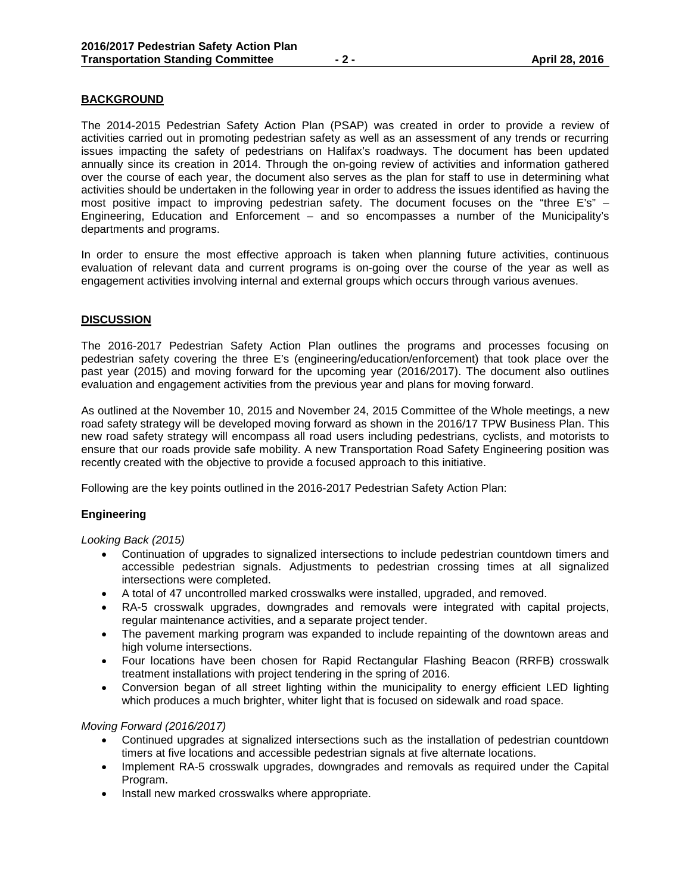# **BACKGROUND**

The 2014-2015 Pedestrian Safety Action Plan (PSAP) was created in order to provide a review of activities carried out in promoting pedestrian safety as well as an assessment of any trends or recurring issues impacting the safety of pedestrians on Halifax's roadways. The document has been updated annually since its creation in 2014. Through the on-going review of activities and information gathered over the course of each year, the document also serves as the plan for staff to use in determining what activities should be undertaken in the following year in order to address the issues identified as having the most positive impact to improving pedestrian safety. The document focuses on the "three E's" – Engineering, Education and Enforcement – and so encompasses a number of the Municipality's departments and programs.

In order to ensure the most effective approach is taken when planning future activities, continuous evaluation of relevant data and current programs is on-going over the course of the year as well as engagement activities involving internal and external groups which occurs through various avenues.

# **DISCUSSION**

The 2016-2017 Pedestrian Safety Action Plan outlines the programs and processes focusing on pedestrian safety covering the three E's (engineering/education/enforcement) that took place over the past year (2015) and moving forward for the upcoming year (2016/2017). The document also outlines evaluation and engagement activities from the previous year and plans for moving forward.

As outlined at the November 10, 2015 and November 24, 2015 Committee of the Whole meetings, a new road safety strategy will be developed moving forward as shown in the 2016/17 TPW Business Plan. This new road safety strategy will encompass all road users including pedestrians, cyclists, and motorists to ensure that our roads provide safe mobility. A new Transportation Road Safety Engineering position was recently created with the objective to provide a focused approach to this initiative.

Following are the key points outlined in the 2016-2017 Pedestrian Safety Action Plan:

#### **Engineering**

*Looking Back (2015)*

- Continuation of upgrades to signalized intersections to include pedestrian countdown timers and accessible pedestrian signals. Adjustments to pedestrian crossing times at all signalized intersections were completed.
- A total of 47 uncontrolled marked crosswalks were installed, upgraded, and removed.
- RA-5 crosswalk upgrades, downgrades and removals were integrated with capital projects, regular maintenance activities, and a separate project tender.
- The pavement marking program was expanded to include repainting of the downtown areas and high volume intersections.
- Four locations have been chosen for Rapid Rectangular Flashing Beacon (RRFB) crosswalk treatment installations with project tendering in the spring of 2016.
- Conversion began of all street lighting within the municipality to energy efficient LED lighting which produces a much brighter, whiter light that is focused on sidewalk and road space.

#### *Moving Forward (2016/2017)*

- Continued upgrades at signalized intersections such as the installation of pedestrian countdown timers at five locations and accessible pedestrian signals at five alternate locations.
- Implement RA-5 crosswalk upgrades, downgrades and removals as required under the Capital Program.
- Install new marked crosswalks where appropriate.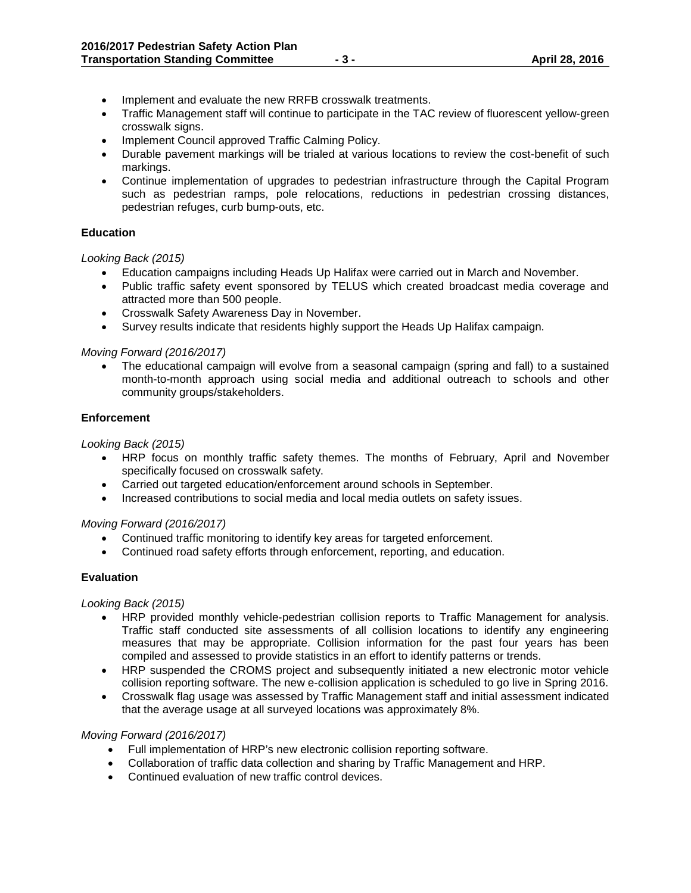- Implement and evaluate the new RRFB crosswalk treatments.
- Traffic Management staff will continue to participate in the TAC review of fluorescent yellow-green crosswalk signs.
- Implement Council approved Traffic Calming Policy.
- Durable pavement markings will be trialed at various locations to review the cost-benefit of such markings.
- Continue implementation of upgrades to pedestrian infrastructure through the Capital Program such as pedestrian ramps, pole relocations, reductions in pedestrian crossing distances, pedestrian refuges, curb bump-outs, etc.

# **Education**

*Looking Back (2015)*

- Education campaigns including Heads Up Halifax were carried out in March and November.
- Public traffic safety event sponsored by TELUS which created broadcast media coverage and attracted more than 500 people.
- Crosswalk Safety Awareness Day in November.
- Survey results indicate that residents highly support the Heads Up Halifax campaign.

# *Moving Forward (2016/2017)*

• The educational campaign will evolve from a seasonal campaign (spring and fall) to a sustained month-to-month approach using social media and additional outreach to schools and other community groups/stakeholders.

# **Enforcement**

*Looking Back (2015)*

- HRP focus on monthly traffic safety themes. The months of February, April and November specifically focused on crosswalk safety.
- Carried out targeted education/enforcement around schools in September.
- Increased contributions to social media and local media outlets on safety issues.

#### *Moving Forward (2016/2017)*

- Continued traffic monitoring to identify key areas for targeted enforcement.
- Continued road safety efforts through enforcement, reporting, and education.

# **Evaluation**

*Looking Back (2015)*

- HRP provided monthly vehicle-pedestrian collision reports to Traffic Management for analysis. Traffic staff conducted site assessments of all collision locations to identify any engineering measures that may be appropriate. Collision information for the past four years has been compiled and assessed to provide statistics in an effort to identify patterns or trends.
- HRP suspended the CROMS project and subsequently initiated a new electronic motor vehicle collision reporting software. The new e-collision application is scheduled to go live in Spring 2016.
- Crosswalk flag usage was assessed by Traffic Management staff and initial assessment indicated that the average usage at all surveyed locations was approximately 8%.

#### *Moving Forward (2016/2017)*

- Full implementation of HRP's new electronic collision reporting software.
- Collaboration of traffic data collection and sharing by Traffic Management and HRP.
- Continued evaluation of new traffic control devices.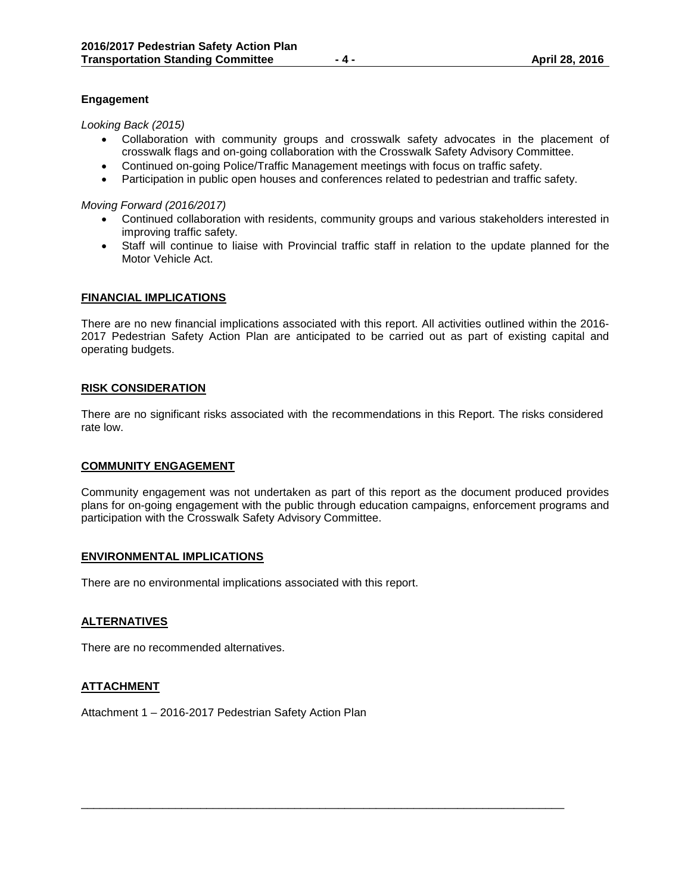# **Engagement**

*Looking Back (2015)*

- Collaboration with community groups and crosswalk safety advocates in the placement of crosswalk flags and on-going collaboration with the Crosswalk Safety Advisory Committee.
- Continued on-going Police/Traffic Management meetings with focus on traffic safety.
- Participation in public open houses and conferences related to pedestrian and traffic safety.

*Moving Forward (2016/2017)*

- Continued collaboration with residents, community groups and various stakeholders interested in improving traffic safety.
- Staff will continue to liaise with Provincial traffic staff in relation to the update planned for the Motor Vehicle Act.

#### **FINANCIAL IMPLICATIONS**

There are no new financial implications associated with this report. All activities outlined within the 2016- 2017 Pedestrian Safety Action Plan are anticipated to be carried out as part of existing capital and operating budgets.

#### **RISK CONSIDERATION**

There are no significant risks associated with the recommendations in this Report. The risks considered rate low.

#### **COMMUNITY ENGAGEMENT**

Community engagement was not undertaken as part of this report as the document produced provides plans for on-going engagement with the public through education campaigns, enforcement programs and participation with the Crosswalk Safety Advisory Committee.

\_\_\_\_\_\_\_\_\_\_\_\_\_\_\_\_\_\_\_\_\_\_\_\_\_\_\_\_\_\_\_\_\_\_\_\_\_\_\_\_\_\_\_\_\_\_\_\_\_\_\_\_\_\_\_\_\_\_\_\_\_\_\_\_\_\_\_\_\_\_\_\_\_\_\_\_\_

#### **ENVIRONMENTAL IMPLICATIONS**

There are no environmental implications associated with this report.

#### **ALTERNATIVES**

There are no recommended alternatives.

#### **ATTACHMENT**

Attachment 1 – 2016-2017 Pedestrian Safety Action Plan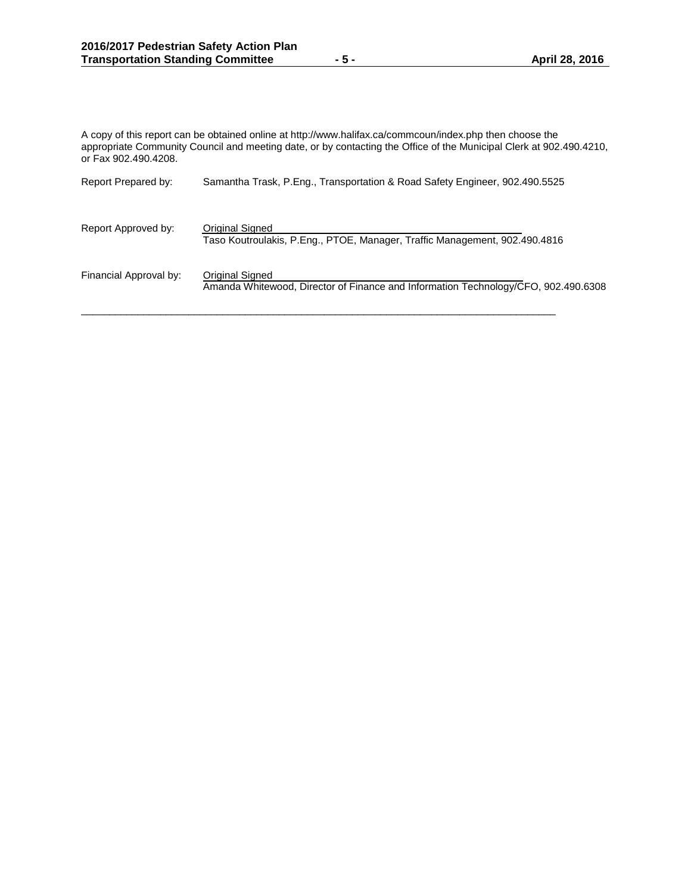A copy of this report can be obtained online at http://www.halifax.ca/commcoun/index.php then choose the appropriate Community Council and meeting date, or by contacting the Office of the Municipal Clerk at 902.490.4210, or Fax 902.490.4208.

| Report Prepared by:    | Samantha Trask, P.Eng., Transportation & Road Safety Engineer, 902.490.5525                           |
|------------------------|-------------------------------------------------------------------------------------------------------|
| Report Approved by:    | Original Signed<br>Taso Koutroulakis, P.Eng., PTOE, Manager, Traffic Management, 902.490.4816         |
| Financial Approval by: | Original Signed<br>Amanda Whitewood, Director of Finance and Information Technology/CFO, 902.490.6308 |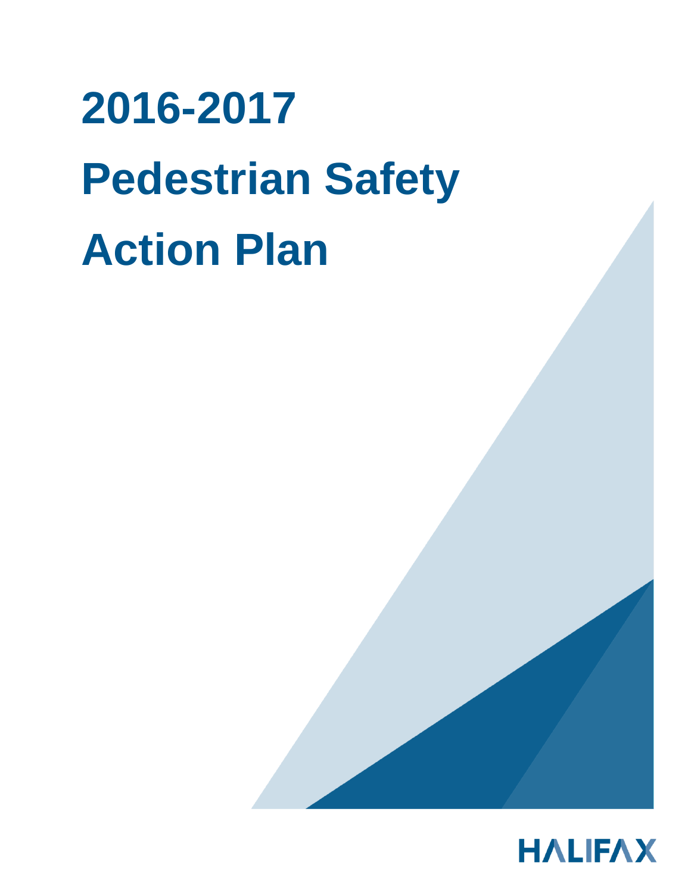# **2016-2017 Pedestrian Safety Action Plan**

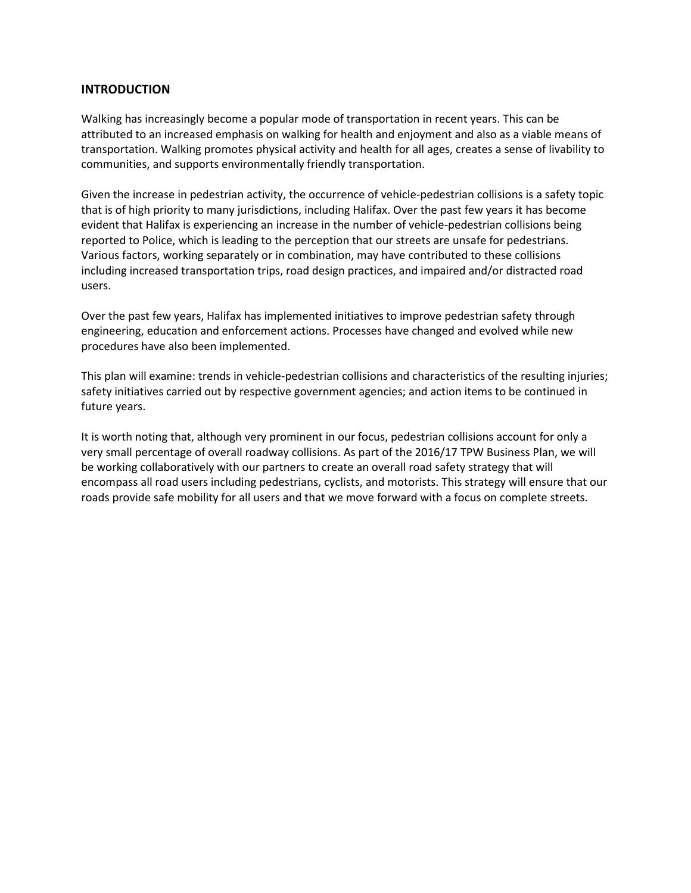# **INTRODUCTION**

Walking has increasingly become a popular mode of transportation in recent years. This can be attributed to an increased emphasis on walking for health and enjoyment and also as a viable means of transportation. Walking promotes physical activity and health for all ages, creates a sense of livability to communities, and supports environmentally friendly transportation.

Given the increase in pedestrian activity, the occurrence of vehicle-pedestrian collisions is a safety topic that is of high priority to many jurisdictions, including Halifax. Over the past few years it has become evident that Halifax is experiencing an increase in the number of vehicle-pedestrian collisions being reported to Police, which is leading to the perception that our streets are unsafe for pedestrians. Various factors, working separately or in combination, may have contributed to these collisions including increased transportation trips, road design practices, and impaired and/or distracted road users.

Over the past few years, Halifax has implemented initiatives to improve pedestrian safety through engineering, education and enforcement actions. Processes have changed and evolved while new procedures have also been implemented.

This plan will examine: trends in vehicle-pedestrian collisions and characteristics of the resulting injuries; safety initiatives carried out by respective government agencies; and action items to be continued in future years.

It is worth noting that, although very prominent in our focus, pedestrian collisions account for only a very small percentage of overall roadway collisions. As part of the 2016/17 TPW Business Plan, we will be working collaboratively with our partners to create an overall road safety strategy that will encompass all road users including pedestrians, cyclists, and motorists. This strategy will ensure that our roads provide safe mobility for all users and that we move forward with a focus on complete streets.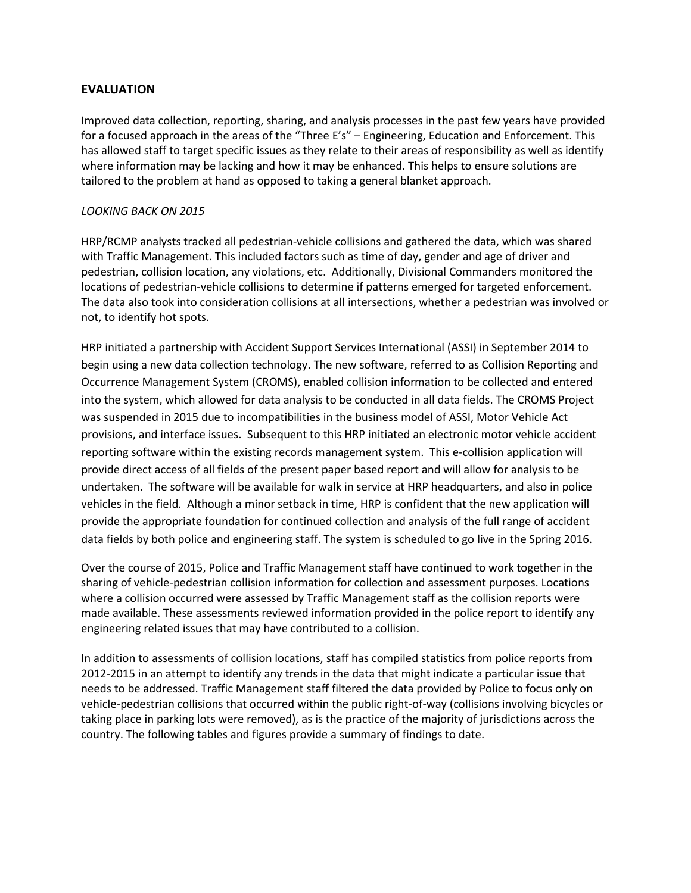# **EVALUATION**

Improved data collection, reporting, sharing, and analysis processes in the past few years have provided for a focused approach in the areas of the "Three E's" – Engineering, Education and Enforcement. This has allowed staff to target specific issues as they relate to their areas of responsibility as well as identify where information may be lacking and how it may be enhanced. This helps to ensure solutions are tailored to the problem at hand as opposed to taking a general blanket approach.

# *LOOKING BACK ON 2015*

HRP/RCMP analysts tracked all pedestrian-vehicle collisions and gathered the data, which was shared with Traffic Management. This included factors such as time of day, gender and age of driver and pedestrian, collision location, any violations, etc. Additionally, Divisional Commanders monitored the locations of pedestrian-vehicle collisions to determine if patterns emerged for targeted enforcement. The data also took into consideration collisions at all intersections, whether a pedestrian was involved or not, to identify hot spots.

HRP initiated a partnership with Accident Support Services International (ASSI) in September 2014 to begin using a new data collection technology. The new software, referred to as Collision Reporting and Occurrence Management System (CROMS), enabled collision information to be collected and entered into the system, which allowed for data analysis to be conducted in all data fields. The CROMS Project was suspended in 2015 due to incompatibilities in the business model of ASSI, Motor Vehicle Act provisions, and interface issues. Subsequent to this HRP initiated an electronic motor vehicle accident reporting software within the existing records management system. This e-collision application will provide direct access of all fields of the present paper based report and will allow for analysis to be undertaken. The software will be available for walk in service at HRP headquarters, and also in police vehicles in the field. Although a minor setback in time, HRP is confident that the new application will provide the appropriate foundation for continued collection and analysis of the full range of accident data fields by both police and engineering staff. The system is scheduled to go live in the Spring 2016.

Over the course of 2015, Police and Traffic Management staff have continued to work together in the sharing of vehicle-pedestrian collision information for collection and assessment purposes. Locations where a collision occurred were assessed by Traffic Management staff as the collision reports were made available. These assessments reviewed information provided in the police report to identify any engineering related issues that may have contributed to a collision.

In addition to assessments of collision locations, staff has compiled statistics from police reports from 2012-2015 in an attempt to identify any trends in the data that might indicate a particular issue that needs to be addressed. Traffic Management staff filtered the data provided by Police to focus only on vehicle-pedestrian collisions that occurred within the public right-of-way (collisions involving bicycles or taking place in parking lots were removed), as is the practice of the majority of jurisdictions across the country. The following tables and figures provide a summary of findings to date.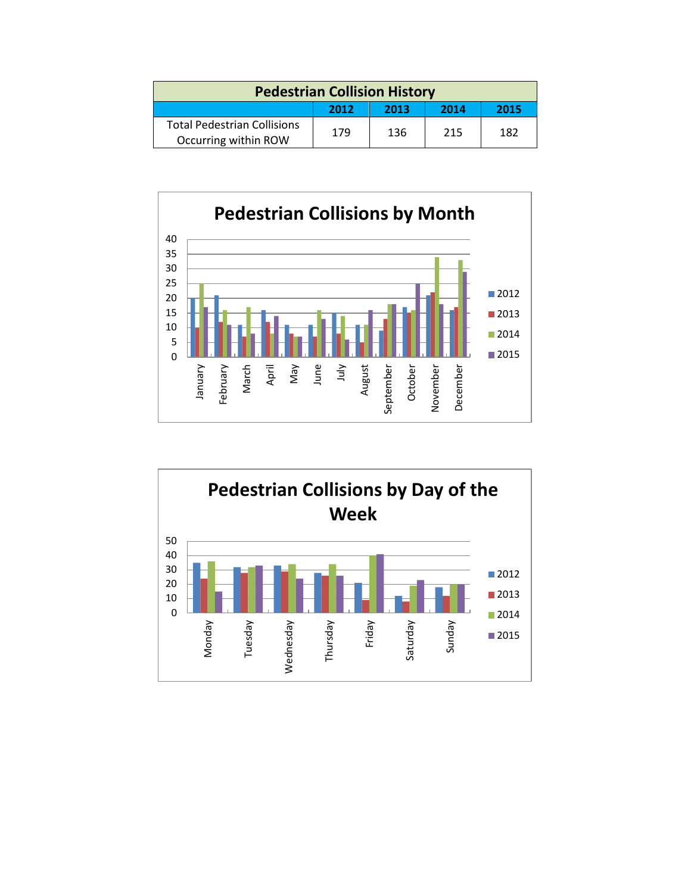| <b>Pedestrian Collision History</b>                        |      |      |      |      |  |
|------------------------------------------------------------|------|------|------|------|--|
|                                                            | 2012 | 2013 | 2014 | 2015 |  |
| <b>Total Pedestrian Collisions</b><br>Occurring within ROW | 179  | 136  | 215  | 182  |  |



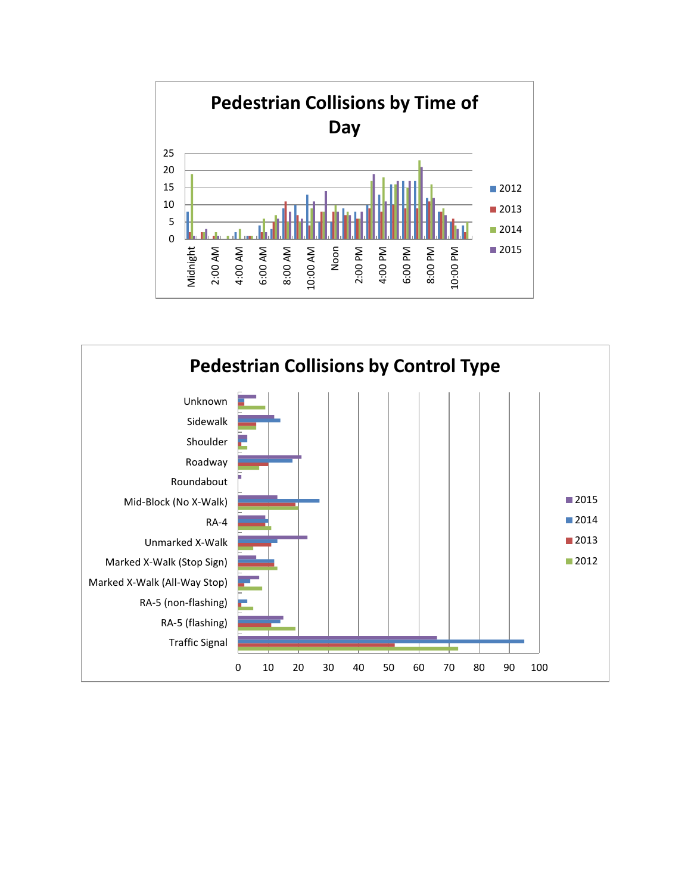

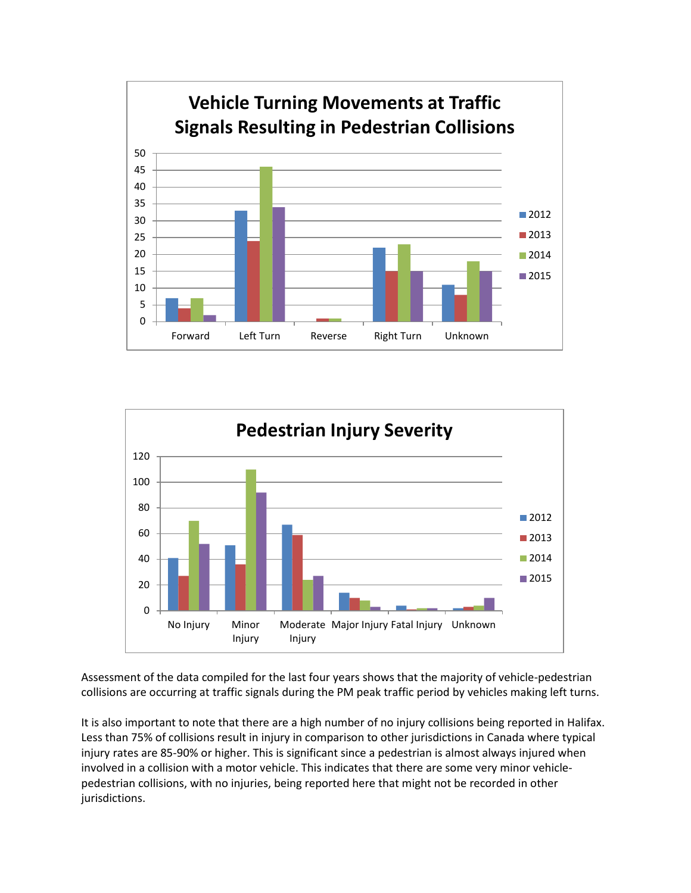



Assessment of the data compiled for the last four years shows that the majority of vehicle-pedestrian collisions are occurring at traffic signals during the PM peak traffic period by vehicles making left turns.

It is also important to note that there are a high number of no injury collisions being reported in Halifax. Less than 75% of collisions result in injury in comparison to other jurisdictions in Canada where typical injury rates are 85-90% or higher. This is significant since a pedestrian is almost always injured when involved in a collision with a motor vehicle. This indicates that there are some very minor vehiclepedestrian collisions, with no injuries, being reported here that might not be recorded in other jurisdictions.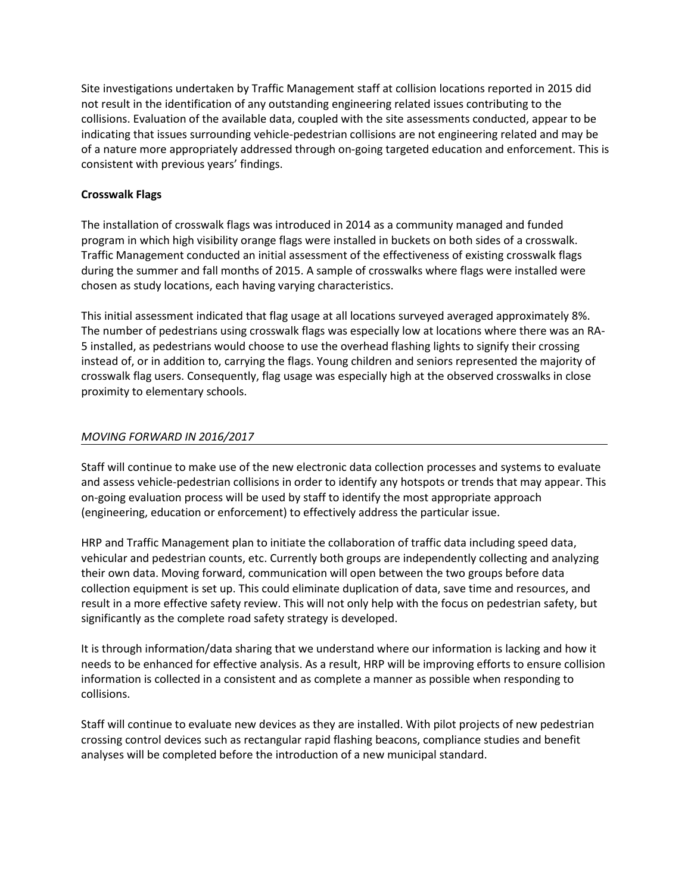Site investigations undertaken by Traffic Management staff at collision locations reported in 2015 did not result in the identification of any outstanding engineering related issues contributing to the collisions. Evaluation of the available data, coupled with the site assessments conducted, appear to be indicating that issues surrounding vehicle-pedestrian collisions are not engineering related and may be of a nature more appropriately addressed through on-going targeted education and enforcement. This is consistent with previous years' findings.

# **Crosswalk Flags**

The installation of crosswalk flags was introduced in 2014 as a community managed and funded program in which high visibility orange flags were installed in buckets on both sides of a crosswalk. Traffic Management conducted an initial assessment of the effectiveness of existing crosswalk flags during the summer and fall months of 2015. A sample of crosswalks where flags were installed were chosen as study locations, each having varying characteristics.

This initial assessment indicated that flag usage at all locations surveyed averaged approximately 8%. The number of pedestrians using crosswalk flags was especially low at locations where there was an RA-5 installed, as pedestrians would choose to use the overhead flashing lights to signify their crossing instead of, or in addition to, carrying the flags. Young children and seniors represented the majority of crosswalk flag users. Consequently, flag usage was especially high at the observed crosswalks in close proximity to elementary schools.

# *MOVING FORWARD IN 2016/2017*

Staff will continue to make use of the new electronic data collection processes and systems to evaluate and assess vehicle-pedestrian collisions in order to identify any hotspots or trends that may appear. This on-going evaluation process will be used by staff to identify the most appropriate approach (engineering, education or enforcement) to effectively address the particular issue.

HRP and Traffic Management plan to initiate the collaboration of traffic data including speed data, vehicular and pedestrian counts, etc. Currently both groups are independently collecting and analyzing their own data. Moving forward, communication will open between the two groups before data collection equipment is set up. This could eliminate duplication of data, save time and resources, and result in a more effective safety review. This will not only help with the focus on pedestrian safety, but significantly as the complete road safety strategy is developed.

It is through information/data sharing that we understand where our information is lacking and how it needs to be enhanced for effective analysis. As a result, HRP will be improving efforts to ensure collision information is collected in a consistent and as complete a manner as possible when responding to collisions.

Staff will continue to evaluate new devices as they are installed. With pilot projects of new pedestrian crossing control devices such as rectangular rapid flashing beacons, compliance studies and benefit analyses will be completed before the introduction of a new municipal standard.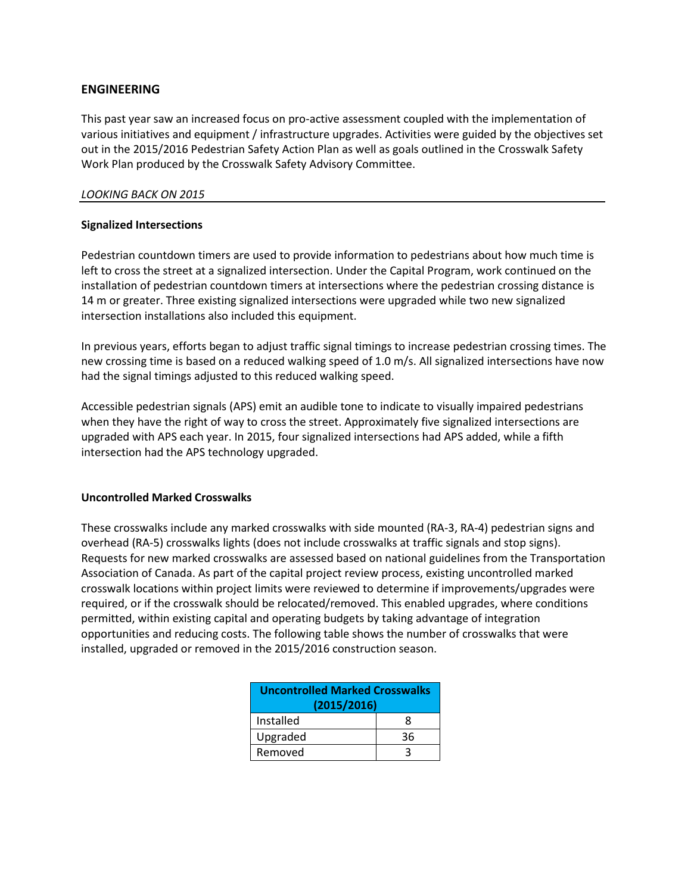# **ENGINEERING**

This past year saw an increased focus on pro-active assessment coupled with the implementation of various initiatives and equipment / infrastructure upgrades. Activities were guided by the objectives set out in the 2015/2016 Pedestrian Safety Action Plan as well as goals outlined in the Crosswalk Safety Work Plan produced by the Crosswalk Safety Advisory Committee.

# *LOOKING BACK ON 2015*

# **Signalized Intersections**

Pedestrian countdown timers are used to provide information to pedestrians about how much time is left to cross the street at a signalized intersection. Under the Capital Program, work continued on the installation of pedestrian countdown timers at intersections where the pedestrian crossing distance is 14 m or greater. Three existing signalized intersections were upgraded while two new signalized intersection installations also included this equipment.

In previous years, efforts began to adjust traffic signal timings to increase pedestrian crossing times. The new crossing time is based on a reduced walking speed of 1.0 m/s. All signalized intersections have now had the signal timings adjusted to this reduced walking speed.

Accessible pedestrian signals (APS) emit an audible tone to indicate to visually impaired pedestrians when they have the right of way to cross the street. Approximately five signalized intersections are upgraded with APS each year. In 2015, four signalized intersections had APS added, while a fifth intersection had the APS technology upgraded.

# **Uncontrolled Marked Crosswalks**

These crosswalks include any marked crosswalks with side mounted (RA-3, RA-4) pedestrian signs and overhead (RA-5) crosswalks lights (does not include crosswalks at traffic signals and stop signs). Requests for new marked crosswalks are assessed based on national guidelines from the Transportation Association of Canada. As part of the capital project review process, existing uncontrolled marked crosswalk locations within project limits were reviewed to determine if improvements/upgrades were required, or if the crosswalk should be relocated/removed. This enabled upgrades, where conditions permitted, within existing capital and operating budgets by taking advantage of integration opportunities and reducing costs. The following table shows the number of crosswalks that were installed, upgraded or removed in the 2015/2016 construction season.

| <b>Uncontrolled Marked Crosswalks</b><br>(2015/2016) |    |  |  |
|------------------------------------------------------|----|--|--|
| Installed                                            | я  |  |  |
| Upgraded                                             | 36 |  |  |
| Removed                                              |    |  |  |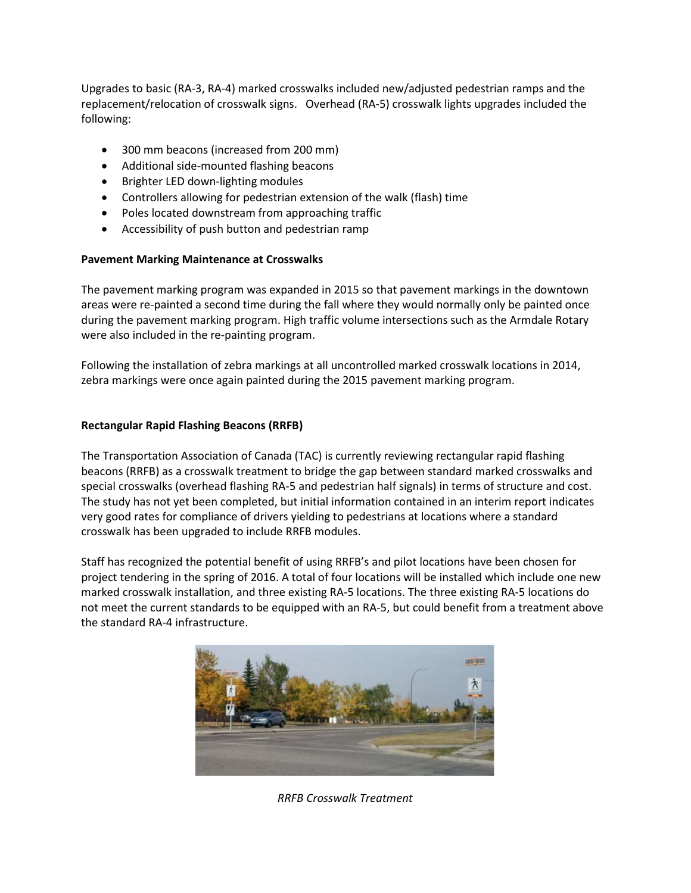Upgrades to basic (RA-3, RA-4) marked crosswalks included new/adjusted pedestrian ramps and the replacement/relocation of crosswalk signs. Overhead (RA-5) crosswalk lights upgrades included the following:

- 300 mm beacons (increased from 200 mm)
- Additional side-mounted flashing beacons
- Brighter LED down-lighting modules
- Controllers allowing for pedestrian extension of the walk (flash) time
- Poles located downstream from approaching traffic
- Accessibility of push button and pedestrian ramp

# **Pavement Marking Maintenance at Crosswalks**

The pavement marking program was expanded in 2015 so that pavement markings in the downtown areas were re-painted a second time during the fall where they would normally only be painted once during the pavement marking program. High traffic volume intersections such as the Armdale Rotary were also included in the re-painting program.

Following the installation of zebra markings at all uncontrolled marked crosswalk locations in 2014, zebra markings were once again painted during the 2015 pavement marking program.

# **Rectangular Rapid Flashing Beacons (RRFB)**

The Transportation Association of Canada (TAC) is currently reviewing rectangular rapid flashing beacons (RRFB) as a crosswalk treatment to bridge the gap between standard marked crosswalks and special crosswalks (overhead flashing RA-5 and pedestrian half signals) in terms of structure and cost. The study has not yet been completed, but initial information contained in an interim report indicates very good rates for compliance of drivers yielding to pedestrians at locations where a standard crosswalk has been upgraded to include RRFB modules.

Staff has recognized the potential benefit of using RRFB's and pilot locations have been chosen for project tendering in the spring of 2016. A total of four locations will be installed which include one new marked crosswalk installation, and three existing RA-5 locations. The three existing RA-5 locations do not meet the current standards to be equipped with an RA-5, but could benefit from a treatment above the standard RA-4 infrastructure.



*RRFB Crosswalk Treatment*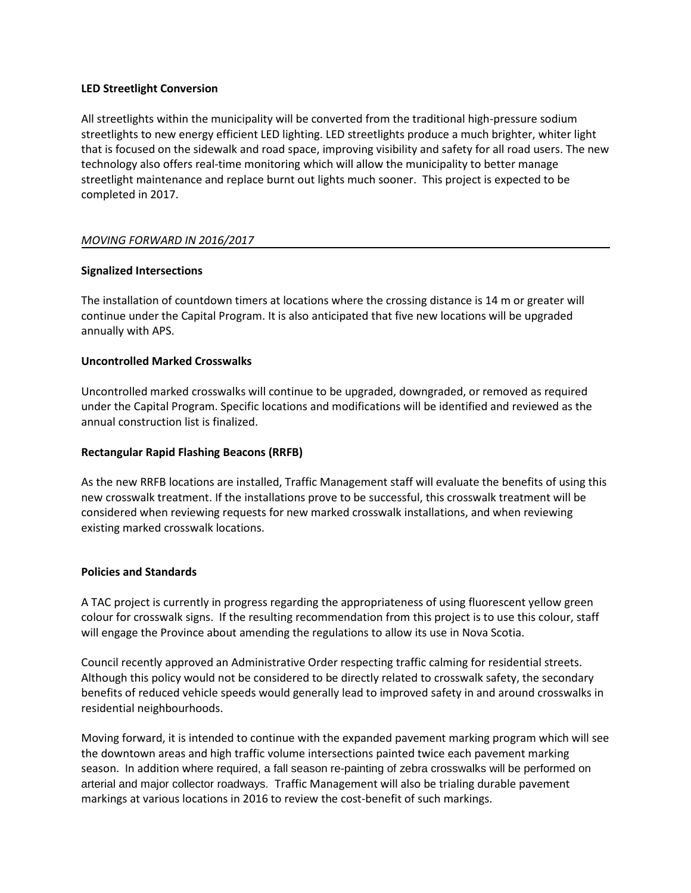# **LED Streetlight Conversion**

All streetlights within the municipality will be converted from the traditional high-pressure sodium streetlights to new energy efficient LED lighting. LED streetlights produce a much brighter, whiter light that is focused on the sidewalk and road space, improving visibility and safety for all road users. The new technology also offers real-time monitoring which will allow the municipality to better manage streetlight maintenance and replace burnt out lights much sooner. This project is expected to be completed in 2017.

# *MOVING FORWARD IN 2016/2017*

# **Signalized Intersections**

The installation of countdown timers at locations where the crossing distance is 14 m or greater will continue under the Capital Program. It is also anticipated that five new locations will be upgraded annually with APS.

# **Uncontrolled Marked Crosswalks**

Uncontrolled marked crosswalks will continue to be upgraded, downgraded, or removed as required under the Capital Program. Specific locations and modifications will be identified and reviewed as the annual construction list is finalized.

# **Rectangular Rapid Flashing Beacons (RRFB)**

As the new RRFB locations are installed, Traffic Management staff will evaluate the benefits of using this new crosswalk treatment. If the installations prove to be successful, this crosswalk treatment will be considered when reviewing requests for new marked crosswalk installations, and when reviewing existing marked crosswalk locations.

#### **Policies and Standards**

A TAC project is currently in progress regarding the appropriateness of using fluorescent yellow green colour for crosswalk signs. If the resulting recommendation from this project is to use this colour, staff will engage the Province about amending the regulations to allow its use in Nova Scotia.

Council recently approved an Administrative Order respecting traffic calming for residential streets. Although this policy would not be considered to be directly related to crosswalk safety, the secondary benefits of reduced vehicle speeds would generally lead to improved safety in and around crosswalks in residential neighbourhoods.

Moving forward, it is intended to continue with the expanded pavement marking program which will see the downtown areas and high traffic volume intersections painted twice each pavement marking season. In addition where required, a fall season re-painting of zebra crosswalks will be performed on arterial and major collector roadways. Traffic Management will also be trialing durable pavement markings at various locations in 2016 to review the cost-benefit of such markings.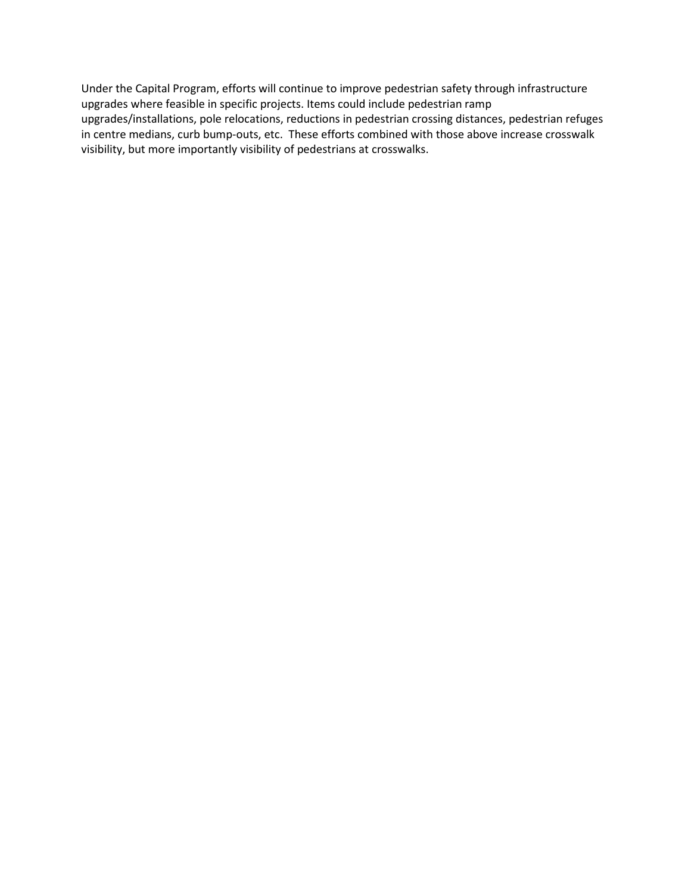Under the Capital Program, efforts will continue to improve pedestrian safety through infrastructure upgrades where feasible in specific projects. Items could include pedestrian ramp upgrades/installations, pole relocations, reductions in pedestrian crossing distances, pedestrian refuges in centre medians, curb bump-outs, etc. These efforts combined with those above increase crosswalk visibility, but more importantly visibility of pedestrians at crosswalks.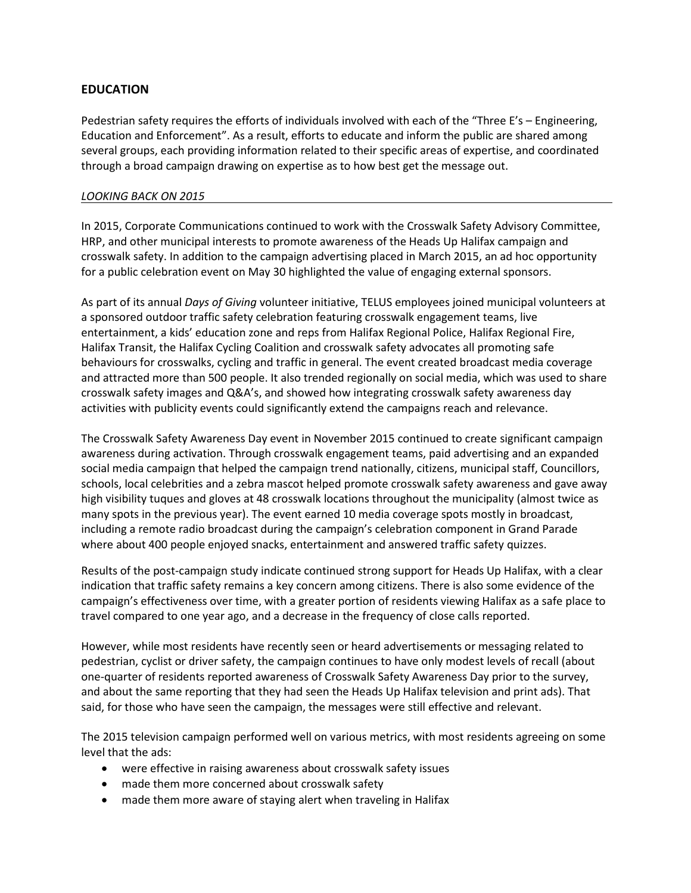# **EDUCATION**

Pedestrian safety requires the efforts of individuals involved with each of the "Three E's – Engineering, Education and Enforcement". As a result, efforts to educate and inform the public are shared among several groups, each providing information related to their specific areas of expertise, and coordinated through a broad campaign drawing on expertise as to how best get the message out.

# *LOOKING BACK ON 2015*

In 2015, Corporate Communications continued to work with the Crosswalk Safety Advisory Committee, HRP, and other municipal interests to promote awareness of the Heads Up Halifax campaign and crosswalk safety. In addition to the campaign advertising placed in March 2015, an ad hoc opportunity for a public celebration event on May 30 highlighted the value of engaging external sponsors.

As part of its annual *Days of Giving* volunteer initiative, TELUS employees joined municipal volunteers at a sponsored outdoor traffic safety celebration featuring crosswalk engagement teams, live entertainment, a kids' education zone and reps from Halifax Regional Police, Halifax Regional Fire, Halifax Transit, the Halifax Cycling Coalition and crosswalk safety advocates all promoting safe behaviours for crosswalks, cycling and traffic in general. The event created broadcast media coverage and attracted more than 500 people. It also trended regionally on social media, which was used to share crosswalk safety images and Q&A's, and showed how integrating crosswalk safety awareness day activities with publicity events could significantly extend the campaigns reach and relevance.

The Crosswalk Safety Awareness Day event in November 2015 continued to create significant campaign awareness during activation. Through crosswalk engagement teams, paid advertising and an expanded social media campaign that helped the campaign trend nationally, citizens, municipal staff, Councillors, schools, local celebrities and a zebra mascot helped promote crosswalk safety awareness and gave away high visibility tuques and gloves at 48 crosswalk locations throughout the municipality (almost twice as many spots in the previous year). The event earned 10 media coverage spots mostly in broadcast, including a remote radio broadcast during the campaign's celebration component in Grand Parade where about 400 people enjoyed snacks, entertainment and answered traffic safety quizzes.

Results of the post-campaign study indicate continued strong support for Heads Up Halifax, with a clear indication that traffic safety remains a key concern among citizens. There is also some evidence of the campaign's effectiveness over time, with a greater portion of residents viewing Halifax as a safe place to travel compared to one year ago, and a decrease in the frequency of close calls reported.

However, while most residents have recently seen or heard advertisements or messaging related to pedestrian, cyclist or driver safety, the campaign continues to have only modest levels of recall (about one-quarter of residents reported awareness of Crosswalk Safety Awareness Day prior to the survey, and about the same reporting that they had seen the Heads Up Halifax television and print ads). That said, for those who have seen the campaign, the messages were still effective and relevant.

The 2015 television campaign performed well on various metrics, with most residents agreeing on some level that the ads:

- were effective in raising awareness about crosswalk safety issues
- made them more concerned about crosswalk safety
- made them more aware of staying alert when traveling in Halifax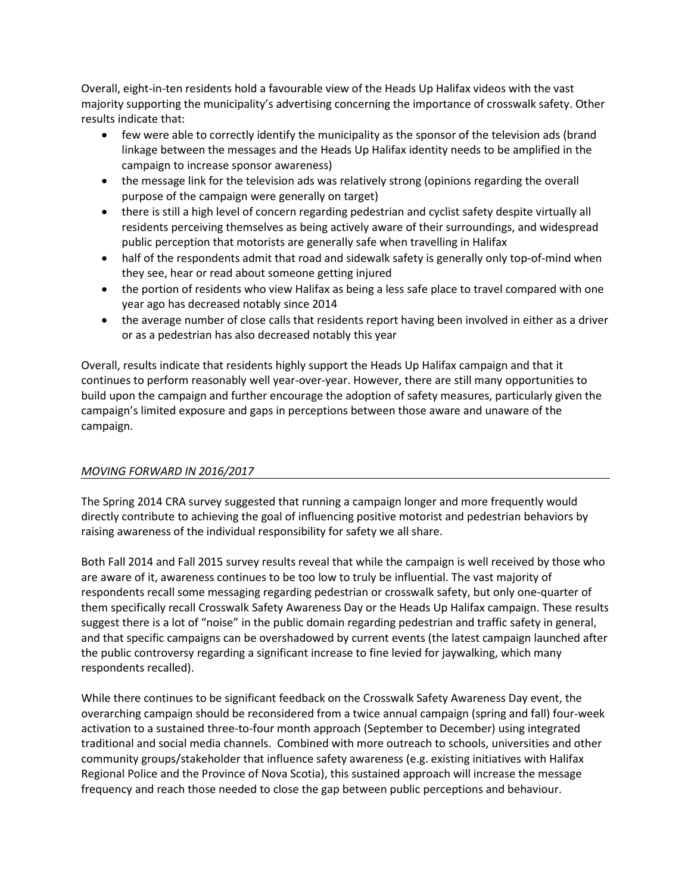Overall, eight-in-ten residents hold a favourable view of the Heads Up Halifax videos with the vast majority supporting the municipality's advertising concerning the importance of crosswalk safety. Other results indicate that:

- few were able to correctly identify the municipality as the sponsor of the television ads (brand linkage between the messages and the Heads Up Halifax identity needs to be amplified in the campaign to increase sponsor awareness)
- the message link for the television ads was relatively strong (opinions regarding the overall purpose of the campaign were generally on target)
- there is still a high level of concern regarding pedestrian and cyclist safety despite virtually all residents perceiving themselves as being actively aware of their surroundings, and widespread public perception that motorists are generally safe when travelling in Halifax
- half of the respondents admit that road and sidewalk safety is generally only top-of-mind when they see, hear or read about someone getting injured
- the portion of residents who view Halifax as being a less safe place to travel compared with one year ago has decreased notably since 2014
- the average number of close calls that residents report having been involved in either as a driver or as a pedestrian has also decreased notably this year

Overall, results indicate that residents highly support the Heads Up Halifax campaign and that it continues to perform reasonably well year-over-year. However, there are still many opportunities to build upon the campaign and further encourage the adoption of safety measures, particularly given the campaign's limited exposure and gaps in perceptions between those aware and unaware of the campaign.

# *MOVING FORWARD IN 2016/2017*

The Spring 2014 CRA survey suggested that running a campaign longer and more frequently would directly contribute to achieving the goal of influencing positive motorist and pedestrian behaviors by raising awareness of the individual responsibility for safety we all share.

Both Fall 2014 and Fall 2015 survey results reveal that while the campaign is well received by those who are aware of it, awareness continues to be too low to truly be influential. The vast majority of respondents recall some messaging regarding pedestrian or crosswalk safety, but only one-quarter of them specifically recall Crosswalk Safety Awareness Day or the Heads Up Halifax campaign. These results suggest there is a lot of "noise" in the public domain regarding pedestrian and traffic safety in general, and that specific campaigns can be overshadowed by current events (the latest campaign launched after the public controversy regarding a significant increase to fine levied for jaywalking, which many respondents recalled).

While there continues to be significant feedback on the Crosswalk Safety Awareness Day event, the overarching campaign should be reconsidered from a twice annual campaign (spring and fall) four-week activation to a sustained three-to-four month approach (September to December) using integrated traditional and social media channels. Combined with more outreach to schools, universities and other community groups/stakeholder that influence safety awareness (e.g. existing initiatives with Halifax Regional Police and the Province of Nova Scotia), this sustained approach will increase the message frequency and reach those needed to close the gap between public perceptions and behaviour.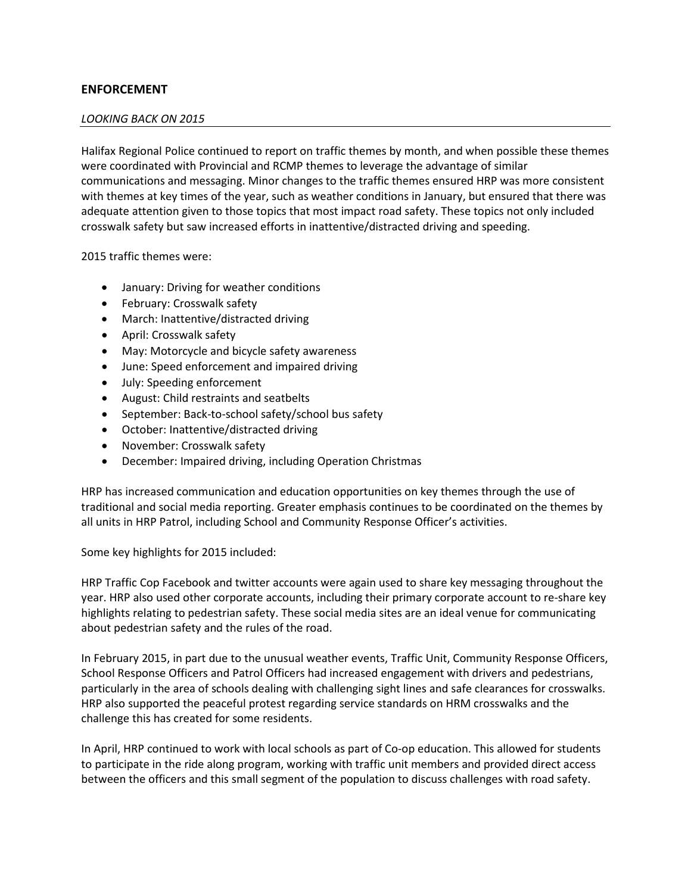# **ENFORCEMENT**

#### *LOOKING BACK ON 2015*

Halifax Regional Police continued to report on traffic themes by month, and when possible these themes were coordinated with Provincial and RCMP themes to leverage the advantage of similar communications and messaging. Minor changes to the traffic themes ensured HRP was more consistent with themes at key times of the year, such as weather conditions in January, but ensured that there was adequate attention given to those topics that most impact road safety. These topics not only included crosswalk safety but saw increased efforts in inattentive/distracted driving and speeding.

2015 traffic themes were:

- January: Driving for weather conditions
- February: Crosswalk safety
- March: Inattentive/distracted driving
- April: Crosswalk safety
- May: Motorcycle and bicycle safety awareness
- June: Speed enforcement and impaired driving
- July: Speeding enforcement
- August: Child restraints and seatbelts
- September: Back-to-school safety/school bus safety
- October: Inattentive/distracted driving
- November: Crosswalk safety
- December: Impaired driving, including Operation Christmas

HRP has increased communication and education opportunities on key themes through the use of traditional and social media reporting. Greater emphasis continues to be coordinated on the themes by all units in HRP Patrol, including School and Community Response Officer's activities.

Some key highlights for 2015 included:

HRP Traffic Cop Facebook and twitter accounts were again used to share key messaging throughout the year. HRP also used other corporate accounts, including their primary corporate account to re-share key highlights relating to pedestrian safety. These social media sites are an ideal venue for communicating about pedestrian safety and the rules of the road.

In February 2015, in part due to the unusual weather events, Traffic Unit, Community Response Officers, School Response Officers and Patrol Officers had increased engagement with drivers and pedestrians, particularly in the area of schools dealing with challenging sight lines and safe clearances for crosswalks. HRP also supported the peaceful protest regarding service standards on HRM crosswalks and the challenge this has created for some residents.

In April, HRP continued to work with local schools as part of Co-op education. This allowed for students to participate in the ride along program, working with traffic unit members and provided direct access between the officers and this small segment of the population to discuss challenges with road safety.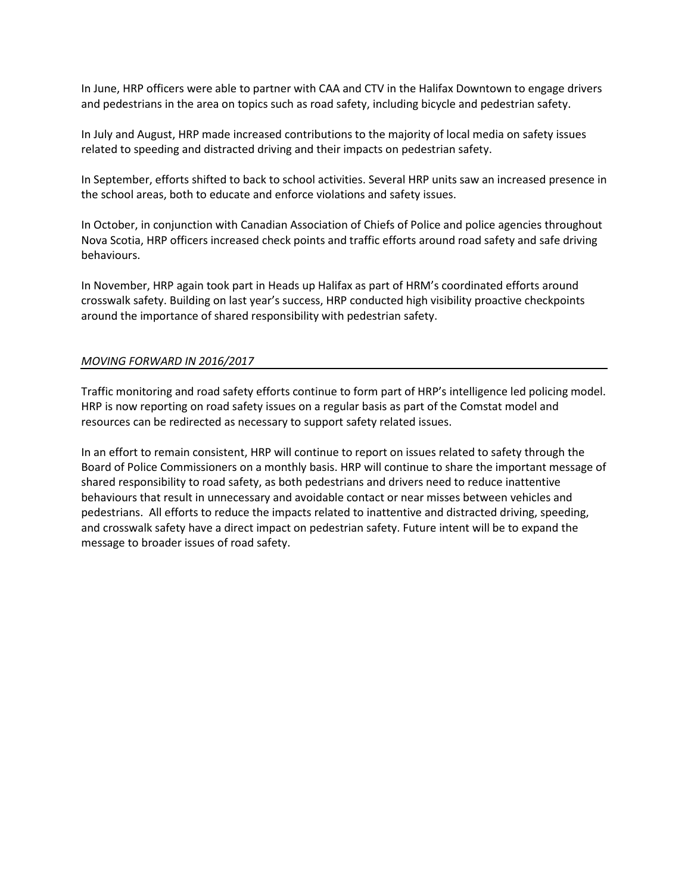In June, HRP officers were able to partner with CAA and CTV in the Halifax Downtown to engage drivers and pedestrians in the area on topics such as road safety, including bicycle and pedestrian safety.

In July and August, HRP made increased contributions to the majority of local media on safety issues related to speeding and distracted driving and their impacts on pedestrian safety.

In September, efforts shifted to back to school activities. Several HRP units saw an increased presence in the school areas, both to educate and enforce violations and safety issues.

In October, in conjunction with Canadian Association of Chiefs of Police and police agencies throughout Nova Scotia, HRP officers increased check points and traffic efforts around road safety and safe driving behaviours.

In November, HRP again took part in Heads up Halifax as part of HRM's coordinated efforts around crosswalk safety. Building on last year's success, HRP conducted high visibility proactive checkpoints around the importance of shared responsibility with pedestrian safety.

# *MOVING FORWARD IN 2016/2017*

Traffic monitoring and road safety efforts continue to form part of HRP's intelligence led policing model. HRP is now reporting on road safety issues on a regular basis as part of the Comstat model and resources can be redirected as necessary to support safety related issues.

In an effort to remain consistent, HRP will continue to report on issues related to safety through the Board of Police Commissioners on a monthly basis. HRP will continue to share the important message of shared responsibility to road safety, as both pedestrians and drivers need to reduce inattentive behaviours that result in unnecessary and avoidable contact or near misses between vehicles and pedestrians. All efforts to reduce the impacts related to inattentive and distracted driving, speeding, and crosswalk safety have a direct impact on pedestrian safety. Future intent will be to expand the message to broader issues of road safety.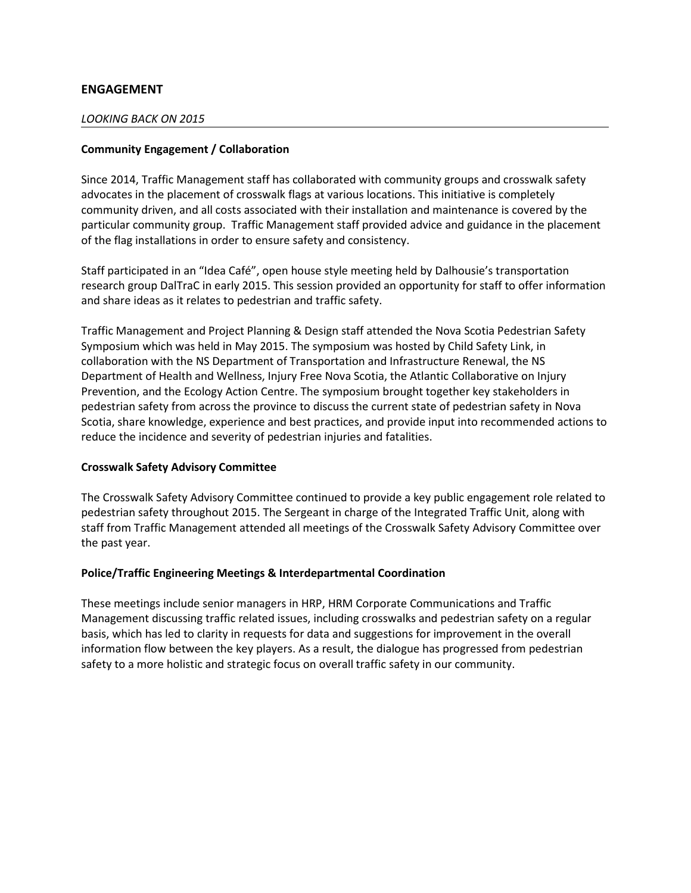# **ENGAGEMENT**

# *LOOKING BACK ON 2015*

# **Community Engagement / Collaboration**

Since 2014, Traffic Management staff has collaborated with community groups and crosswalk safety advocates in the placement of crosswalk flags at various locations. This initiative is completely community driven, and all costs associated with their installation and maintenance is covered by the particular community group. Traffic Management staff provided advice and guidance in the placement of the flag installations in order to ensure safety and consistency.

Staff participated in an "Idea Café", open house style meeting held by Dalhousie's transportation research group DalTraC in early 2015. This session provided an opportunity for staff to offer information and share ideas as it relates to pedestrian and traffic safety.

Traffic Management and Project Planning & Design staff attended the Nova Scotia Pedestrian Safety Symposium which was held in May 2015. The symposium was hosted by Child Safety Link, in collaboration with the NS Department of Transportation and Infrastructure Renewal, the NS Department of Health and Wellness, Injury Free Nova Scotia, the Atlantic Collaborative on Injury Prevention, and the Ecology Action Centre. The symposium brought together key stakeholders in pedestrian safety from across the province to discuss the current state of pedestrian safety in Nova Scotia, share knowledge, experience and best practices, and provide input into recommended actions to reduce the incidence and severity of pedestrian injuries and fatalities.

# **Crosswalk Safety Advisory Committee**

The Crosswalk Safety Advisory Committee continued to provide a key public engagement role related to pedestrian safety throughout 2015. The Sergeant in charge of the Integrated Traffic Unit, along with staff from Traffic Management attended all meetings of the Crosswalk Safety Advisory Committee over the past year.

# **Police/Traffic Engineering Meetings & Interdepartmental Coordination**

These meetings include senior managers in HRP, HRM Corporate Communications and Traffic Management discussing traffic related issues, including crosswalks and pedestrian safety on a regular basis, which has led to clarity in requests for data and suggestions for improvement in the overall information flow between the key players. As a result, the dialogue has progressed from pedestrian safety to a more holistic and strategic focus on overall traffic safety in our community.